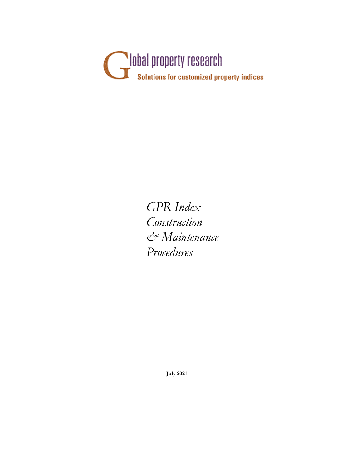

GPR Index Construction & Maintenance Procedures

July 2021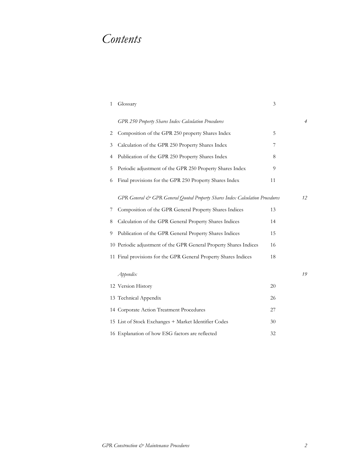# Contents

| $\mathbf{1}$ | Glossary                                                                      | 3  |    |
|--------------|-------------------------------------------------------------------------------|----|----|
|              | <b>GPR 250 Property Shares Index Calculation Procedures</b>                   |    | 4  |
| 2            | Composition of the GPR 250 property Shares Index                              | 5  |    |
| 3            | Calculation of the GPR 250 Property Shares Index                              | 7  |    |
| 4            | Publication of the GPR 250 Property Shares Index                              | 8  |    |
| 5            | Periodic adjustment of the GPR 250 Property Shares Index                      | 9  |    |
| 6            | Final provisions for the GPR 250 Property Shares Index                        | 11 |    |
|              | GPR General & GPR General Quoted Property Shares Index Calculation Procedures |    | 12 |
| 7            | Composition of the GPR General Property Shares Indices                        | 13 |    |
| 8            | Calculation of the GPR General Property Shares Indices                        | 14 |    |
| 9            | Publication of the GPR General Property Shares Indices                        | 15 |    |
|              | 10 Periodic adjustment of the GPR General Property Shares Indices             | 16 |    |
|              | 11 Final provisions for the GPR General Property Shares Indices               | 18 |    |
|              | Appendix                                                                      |    | 19 |
|              | 12 Version History                                                            | 20 |    |
|              | 13 Technical Appendix                                                         | 26 |    |
|              | 14 Corporate Action Treatment Procedures                                      | 27 |    |
|              | 15 List of Stock Exchanges + Market Identifier Codes                          | 30 |    |
|              | 16 Explanation of how ESG factors are reflected                               | 32 |    |
|              |                                                                               |    |    |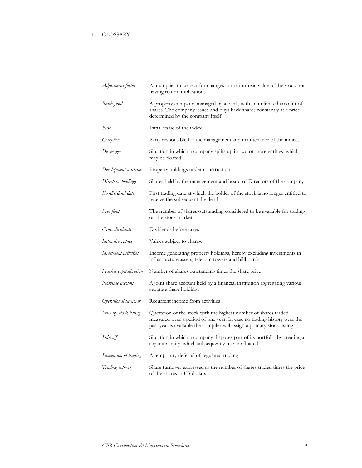# 1 GLOSSARY

| Adjustment factor      | A multiplier to correct for changes in the intrinsic value of the stock not<br>having return implications                                                                                                             |
|------------------------|-----------------------------------------------------------------------------------------------------------------------------------------------------------------------------------------------------------------------|
| Bank fund              | A property company, managed by a bank, with an unlimited amount of<br>shares. The company issues and buys back shares constantly at a price<br>determined by the company itself                                       |
| Base                   | Initial value of the index                                                                                                                                                                                            |
| Compiler               | Party responsible for the management and maintenance of the indices                                                                                                                                                   |
| De-merger              | Situation in which a company splits up in two or more entities, which<br>may be floated                                                                                                                               |
| Development activities | Property holdings under construction                                                                                                                                                                                  |
| Directors' holdings    | Shares held by the management and board of Directors of the company                                                                                                                                                   |
| Ex-dividend date       | First trading date at which the holder of the stock is no longer entitled to<br>receive the subsequent dividend                                                                                                       |
| Free float             | The number of shares outstanding considered to be available for trading<br>on the stock market                                                                                                                        |
| Gross dividends        | Dividends before taxes                                                                                                                                                                                                |
| Indicative values      | Values subject to change                                                                                                                                                                                              |
| Investment activities  | Income generating property holdings, hereby excluding investments in<br>infrastructure assets, telecom towers and billboards                                                                                          |
| Market capitalization  | Number of shares outstanding times the share price                                                                                                                                                                    |
| Nominee account        | A joint share account held by a financial institution aggregating various<br>separate share holdings                                                                                                                  |
| Operational turnover   | Recurrent income from activities                                                                                                                                                                                      |
| Primary stock listing  | Quotation of the stock with the highest number of shares traded<br>measured over a period of one year. In case no trading history over the<br>past year is available the compiler will assign a primary stock listing |
| Spin-off               | Situation in which a company disposes part of its portfolio by creating a<br>separate entity, which subsequently may be floated                                                                                       |
| Suspension of trading  | A temporary deferral of regulated trading                                                                                                                                                                             |
| Trading volume         | Share turnover expressed as the number of shares traded times the price<br>of the shares in US dollars                                                                                                                |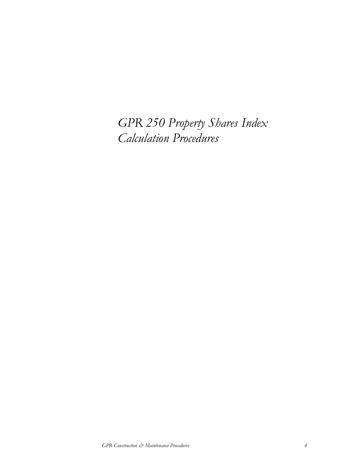GPR 250 Property Shares Index Calculation Procedures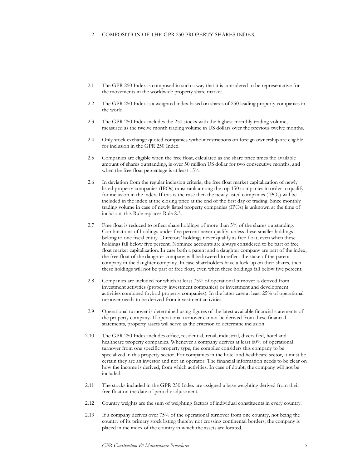#### 2 COMPOSITION OF THE GPR 250 PROPERTY SHARES INDEX

- 2.1 The GPR 250 Index is composed in such a way that it is considered to be representative for the movements in the worldwide property share market.
- 2.2 The GPR 250 Index is a weighted index based on shares of 250 leading property companies in the world.
- 2.3 The GPR 250 Index includes the 250 stocks with the highest monthly trading volume, measured as the twelve month trading volume in US dollars over the previous twelve months.
- 2.4 Only stock exchange quoted companies without restrictions on foreign ownership are eligible for inclusion in the GPR 250 Index.
- 2.5 Companies are eligible when the free float, calculated as the share price times the available amount of shares outstanding, is over 50 million US dollar for two consecutive months, and when the free float percentage is at least 15%.
- 2.6 In deviation from the regular inclusion criteria, the free float market capitalization of newly listed property companies (IPOs) must rank among the top 150 companies in order to qualify for inclusion in the index. If this is the case then the newly listed companies (IPOs) will be included in the index at the closing price at the end of the first day of trading. Since monthly trading volume in case of newly listed property companies (IPOs) is unknown at the time of inclusion, this Rule replaces Rule 2.3.
- 2.7 Free float is reduced to reflect share holdings of more than 5% of the shares outstanding. Combinations of holdings under five percent never qualify, unless these smaller holdings belong to one fiscal entity. Directors' holdings never qualify as free float, even when these holdings fall below five percent. Nominee accounts are always considered to be part of free float market capitalization. In case both a parent and a daughter company are part of the index, the free float of the daughter company will be lowered to reflect the stake of the parent company in the daughter company. In case shareholders have a lock-up on their shares, then these holdings will not be part of free float, even when these holdings fall below five percent.
- 2.8 Companies are included for which at least 75% of operational turnover is derived from investment activities (property investment companies) or investment and development activities combined (hybrid property companies). In the latter case at least 25% of operational turnover needs to be derived from investment activities.
- 2.9 Operational turnover is determined using figures of the latest available financial statements of the property company. If operational turnover cannot be derived from these financial statements, property assets will serve as the criterion to determine inclusion.
- 2.10 The GPR 250 Index includes office, residential, retail, industrial, diversified, hotel and healthcare property companies. Whenever a company derives at least 60% of operational turnover from one specific property type, the compiler considers this company to be specialized in this property sector. For companies in the hotel and healthcare sector, it must be certain they are an investor and not an operator. The financial information needs to be clear on how the income is derived, from which activities. In case of doubt, the company will not be included.
- 2.11 The stocks included in the GPR 250 Index are assigned a base weighting derived from their free float on the date of periodic adjustment.
- 2.12 Country weights are the sum of weighting factors of individual constituents in every country.
- 2.13 If a company derives over 75% of the operational turnover from one country, not being the country of its primary stock listing thereby not crossing continental borders, the company is placed in the index of the country in which the assets are located.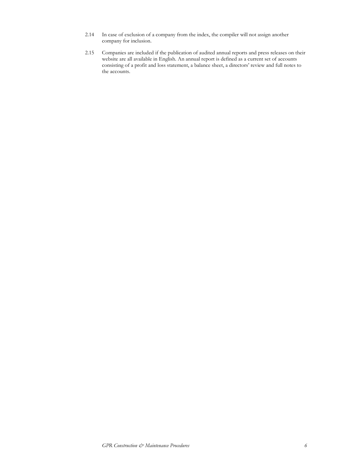- 2.14 In case of exclusion of a company from the index, the compiler will not assign another company for inclusion.
- 2.15 Companies are included if the publication of audited annual reports and press releases on their website are all available in English. An annual report is defined as a current set of accounts consisting of a profit and loss statement, a balance sheet, a directors' review and full notes to the accounts.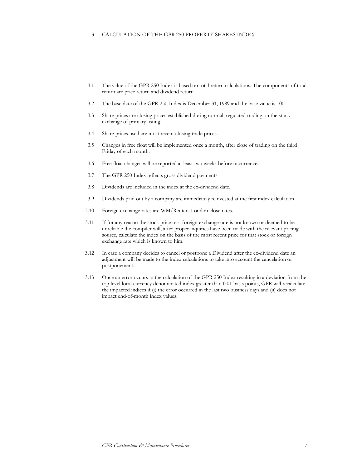## 3 CALCULATION OF THE GPR 250 PROPERTY SHARES INDEX

- 3.1 The value of the GPR 250 Index is based on total return calculations. The components of total return are price return and dividend return.
- 3.2 The base date of the GPR 250 Index is December 31, 1989 and the base value is 100.
- 3.3 Share prices are closing prices established during normal, regulated trading on the stock exchange of primary listing.
- 3.4 Share prices used are most recent closing trade prices.
- 3.5 Changes in free float will be implemented once a month, after close of trading on the third Friday of each month.
- 3.6 Free float changes will be reported at least two weeks before occurrence.
- 3.7 The GPR 250 Index reflects gross dividend payments.
- 3.8 Dividends are included in the index at the ex-dividend date.
- 3.9 Dividends paid out by a company are immediately reinvested at the first index calculation.
- 3.10 Foreign exchange rates are WM/Reuters London close rates.
- 3.11 If for any reason the stock price or a foreign exchange rate is not known or deemed to be unreliable the compiler will, after proper inquiries have been made with the relevant pricing source, calculate the index on the basis of the most recent price for that stock or foreign exchange rate which is known to him.
- 3.12 In case a company decides to cancel or postpone a Dividend after the ex-dividend date an adjustment will be made to the index calculations to take into account the cancelation or postponement.
- 3.13 Once an error occurs in the calculation of the GPR 250 Index resulting in a deviation from the top level local currency denominated index greater than 0.01 basis points, GPR will recalculate the impacted indices if (i) the error occurred in the last two business days and (ii) does not impact end-of-month index values.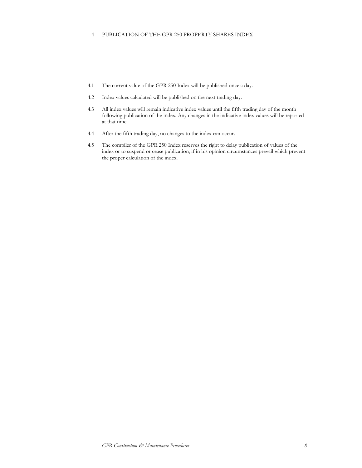## 4 PUBLICATION OF THE GPR 250 PROPERTY SHARES INDEX

- 4.1 The current value of the GPR 250 Index will be published once a day.
- 4.2 Index values calculated will be published on the next trading day.
- 4.3 All index values will remain indicative index values until the fifth trading day of the month following publication of the index. Any changes in the indicative index values will be reported at that time.
- 4.4 After the fifth trading day, no changes to the index can occur.
- 4.5 The compiler of the GPR 250 Index reserves the right to delay publication of values of the index or to suspend or cease publication, if in his opinion circumstances prevail which prevent the proper calculation of the index.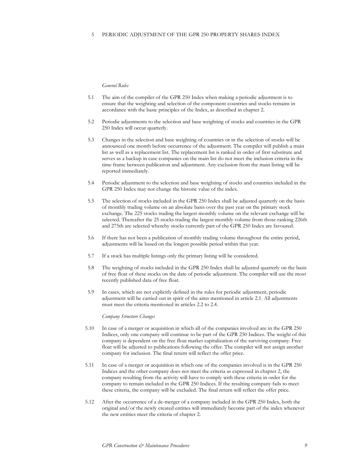## General Rules

- 5.1 The aim of the compiler of the GPR 250 Index when making a periodic adjustment is to ensure that the weighting and selection of the component countries and stocks remains in accordance with the basic principles of the Index, as described in chapter 2.
- 5.2 Periodic adjustments to the selection and base weighting of stocks and countries in the GPR 250 Index will occur quarterly.
- 5.3 Changes in the selection and base weighting of countries or in the selection of stocks will be announced one month before occurrence of the adjustment. The compiler will publish a main list as well as a replacement list. The replacement list is ranked in order of first substitute and serves as a backup in case companies on the main list do not meet the inclusion criteria in the time frame between publication and adjustment. Any exclusion from the main listing will be reported immediately.
- 5.4 Periodic adjustment to the selection and base weighting of stocks and countries included in the GPR 250 Index may not change the historic value of the index.
- 5.5 The selection of stocks included in the GPR 250 Index shall be adjusted quarterly on the basis of monthly trading volume on an absolute basis over the past year on the primary stock exchange. The 225 stocks trading the largest monthly volume on the relevant exchange will be selected. Thereafter the 25 stocks trading the largest monthly volume from those ranking 226th and 275th are selected whereby stocks currently part of the GPR 250 Index are favoured.
- 5.6 If there has not been a publication of monthly trading volume throughout the entire period, adjustments will be based on the longest possible period within that year.
- 5.7 If a stock has multiple listings only the primary listing will be considered.
- 5.8 The weighting of stocks included in the GPR 250 Index shall be adjusted quarterly on the basis of free float of these stocks on the date of periodic adjustment. The compiler will use the most recently published data of free float.
- 5.9 In cases, which are not explicitly defined in the rules for periodic adjustment, periodic adjustment will be carried out in spirit of the aims mentioned in article 2.1. All adjustments must meet the criteria mentioned in articles 2.2 to 2.4.

#### Company Structure Changes

- 5.10 In case of a merger or acquisition in which all of the companies involved are in the GPR 250 Indices, only one company will continue to be part of the GPR 250 Indices. The weight of this company is dependent on the free float market capitalization of the surviving company. Free float will be adjusted to publications following the offer. The compiler will not assign another company for inclusion. The final return will reflect the offer price.
- 5.11 In case of a merger or acquisition in which one of the companies involved is in the GPR 250 Indices and the other company does not meet the criteria as expressed in chapter 2, the company resulting from the activity will have to comply with these criteria in order for the company to remain included in the GPR 250 Indices. If the resulting company fails to meet these criteria, the company will be excluded. The final return will reflect the offer price.
- 5.12 After the occurrence of a de-merger of a company included in the GPR 250 Index, both the original and/or the newly created entities will immediately become part of the index whenever the new entities meet the criteria of chapter 2.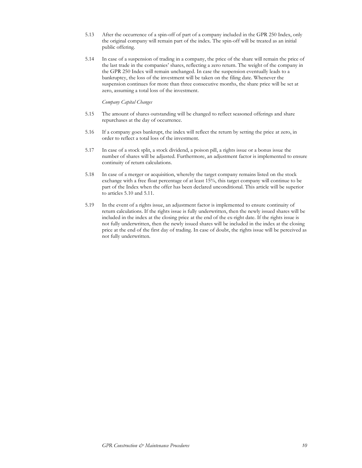- 5.13 After the occurrence of a spin-off of part of a company included in the GPR 250 Index, only the original company will remain part of the index. The spin-off will be treated as an initial public offering.
- 5.14 In case of a suspension of trading in a company, the price of the share will remain the price of the last trade in the companies' shares, reflecting a zero return. The weight of the company in the GPR 250 Index will remain unchanged. In case the suspension eventually leads to a bankruptcy, the loss of the investment will be taken on the filing date. Whenever the suspension continues for more than three consecutive months, the share price will be set at zero, assuming a total loss of the investment.

## Company Capital Changes

- 5.15 The amount of shares outstanding will be changed to reflect seasoned offerings and share repurchases at the day of occurrence.
- 5.16 If a company goes bankrupt, the index will reflect the return by setting the price at zero, in order to reflect a total loss of the investment.
- 5.17 In case of a stock split, a stock dividend, a poison pill, a rights issue or a bonus issue the number of shares will be adjusted. Furthermore, an adjustment factor is implemented to ensure continuity of return calculations.
- 5.18 In case of a merger or acquisition, whereby the target company remains listed on the stock exchange with a free float percentage of at least 15%, this target company will continue to be part of the Index when the offer has been declared unconditional. This article will be superior to articles 5.10 and 5.11.
- 5.19 In the event of a rights issue, an adjustment factor is implemented to ensure continuity of return calculations. If the rights issue is fully underwritten, then the newly issued shares will be included in the index at the closing price at the end of the ex-right date. If the rights issue is not fully underwritten, then the newly issued shares will be included in the index at the closing price at the end of the first day of trading. In case of doubt, the rights issue will be perceived as not fully underwritten.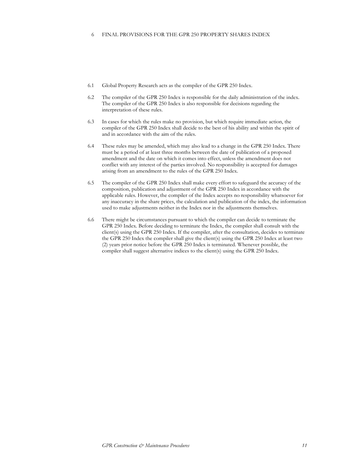- 6.1 Global Property Research acts as the compiler of the GPR 250 Index.
- 6.2 The compiler of the GPR 250 Index is responsible for the daily administration of the index. The compiler of the GPR 250 Index is also responsible for decisions regarding the interpretation of these rules.
- 6.3 In cases for which the rules make no provision, but which require immediate action, the compiler of the GPR 250 Index shall decide to the best of his ability and within the spirit of and in accordance with the aim of the rules.
- 6.4 These rules may be amended, which may also lead to a change in the GPR 250 Index. There must be a period of at least three months between the date of publication of a proposed amendment and the date on which it comes into effect, unless the amendment does not conflict with any interest of the parties involved. No responsibility is accepted for damages arising from an amendment to the rules of the GPR 250 Index.
- 6.5 The compiler of the GPR 250 Index shall make every effort to safeguard the accuracy of the composition, publication and adjustment of the GPR 250 Index in accordance with the applicable rules. However, the compiler of the Index accepts no responsibility whatsoever for any inaccuracy in the share prices, the calculation and publication of the index, the information used to make adjustments neither in the Index nor in the adjustments themselves.
- 6.6 There might be circumstances pursuant to which the compiler can decide to terminate the GPR 250 Index. Before deciding to terminate the Index, the compiler shall consult with the client(s) using the GPR 250 Index. If the compiler, after the consultation, decides to terminate the GPR 250 Index the compiler shall give the client(s) using the GPR 250 Index at least two (2) years prior notice before the GPR 250 Index is terminated. Whenever possible, the compiler shall suggest alternative indices to the client(s) using the GPR 250 Index.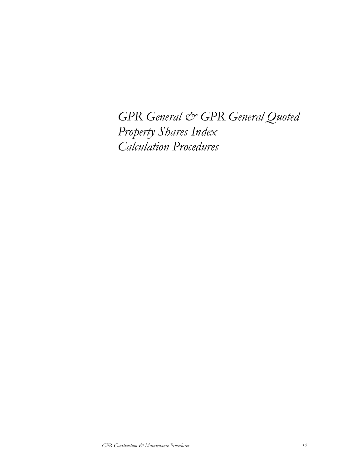GPR General & GPR General Quoted Property Shares Index Calculation Procedures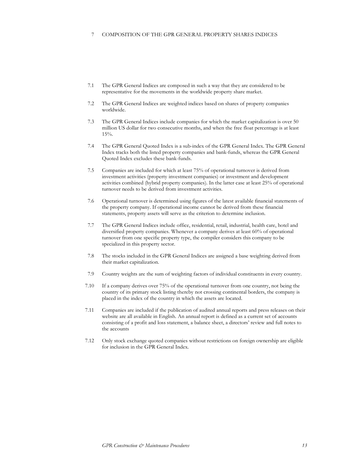### 7 COMPOSITION OF THE GPR GENERAL PROPERTY SHARES INDICES

- 7.1 The GPR General Indices are composed in such a way that they are considered to be representative for the movements in the worldwide property share market.
- 7.2 The GPR General Indices are weighted indices based on shares of property companies worldwide.
- 7.3 The GPR General Indices include companies for which the market capitalization is over 50 million US dollar for two consecutive months, and when the free float percentage is at least 15%.
- 7.4 The GPR General Quoted Index is a sub-index of the GPR General Index. The GPR General Index tracks both the listed property companies and bank-funds, whereas the GPR General Quoted Index excludes these bank-funds.
- 7.5 Companies are included for which at least 75% of operational turnover is derived from investment activities (property investment companies) or investment and development activities combined (hybrid property companies). In the latter case at least 25% of operational turnover needs to be derived from investment activities.
- 7.6 Operational turnover is determined using figures of the latest available financial statements of the property company. If operational income cannot be derived from these financial statements, property assets will serve as the criterion to determine inclusion.
- 7.7 The GPR General Indices include office, residential, retail, industrial, health care, hotel and diversified property companies. Whenever a company derives at least 60% of operational turnover from one specific property type, the compiler considers this company to be specialized in this property sector.
- 7.8 The stocks included in the GPR General Indices are assigned a base weighting derived from their market capitalization.
- 7.9 Country weights are the sum of weighting factors of individual constituents in every country.
- 7.10 If a company derives over 75% of the operational turnover from one country, not being the country of its primary stock listing thereby not crossing continental borders, the company is placed in the index of the country in which the assets are located.
- 7.11 Companies are included if the publication of audited annual reports and press releases on their website are all available in English. An annual report is defined as a current set of accounts consisting of a profit and loss statement, a balance sheet, a directors' review and full notes to the accounts
- 7.12 Only stock exchange quoted companies without restrictions on foreign ownership are eligible for inclusion in the GPR General Index.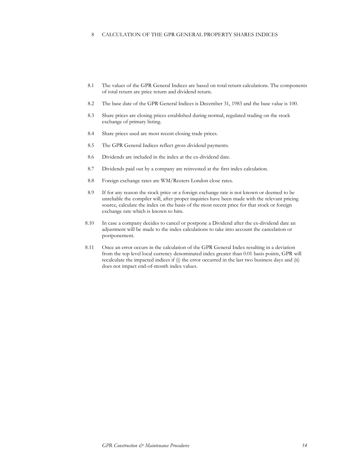## 8 CALCULATION OF THE GPR GENERAL PROPERTY SHARES INDICES

- 8.1 The values of the GPR General Indices are based on total return calculations. The components of total return are price return and dividend return.
- 8.2 The base date of the GPR General Indices is December 31, 1983 and the base value is 100.
- 8.3 Share prices are closing prices established during normal, regulated trading on the stock exchange of primary listing.
- 8.4 Share prices used are most recent closing trade prices.
- 8.5 The GPR General Indices reflect gross dividend payments.
- 8.6 Dividends are included in the index at the ex-dividend date.
- 8.7 Dividends paid out by a company are reinvested at the first index calculation.
- 8.8 Foreign exchange rates are WM/Reuters London close rates.
- 8.9 If for any reason the stock price or a foreign exchange rate is not known or deemed to be unreliable the compiler will, after proper inquiries have been made with the relevant pricing source, calculate the index on the basis of the most recent price for that stock or foreign exchange rate which is known to him.
- 8.10 In case a company decides to cancel or postpone a Dividend after the ex-dividend date an adjustment will be made to the index calculations to take into account the cancelation or postponement.
- 8.11 Once an error occurs in the calculation of the GPR General Index resulting in a deviation from the top level local currency denominated index greater than 0.01 basis points, GPR will recalculate the impacted indices if (i) the error occurred in the last two business days and (ii) does not impact end-of-month index values.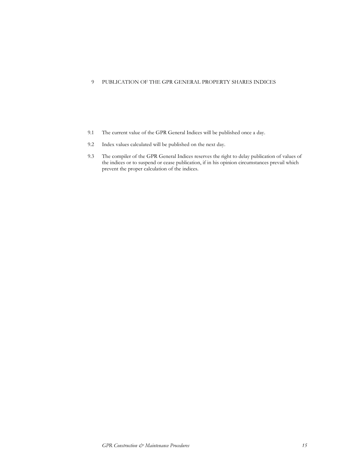# 9 PUBLICATION OF THE GPR GENERAL PROPERTY SHARES INDICES

- 9.1 The current value of the GPR General Indices will be published once a day.
- 9.2 Index values calculated will be published on the next day.
- 9.3 The compiler of the GPR General Indices reserves the right to delay publication of values of the indices or to suspend or cease publication, if in his opinion circumstances prevail which prevent the proper calculation of the indices.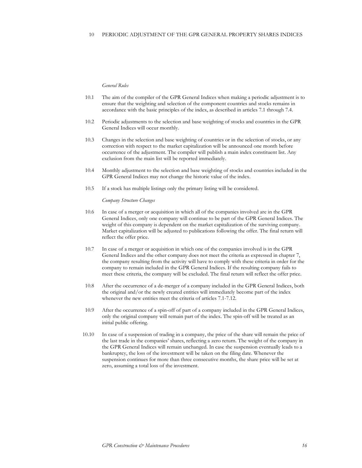#### General Rules

- 10.1 The aim of the compiler of the GPR General Indices when making a periodic adjustment is to ensure that the weighting and selection of the component countries and stocks remains in accordance with the basic principles of the index, as described in articles 7.1 through 7.4.
- 10.2 Periodic adjustments to the selection and base weighting of stocks and countries in the GPR General Indices will occur monthly.
- 10.3 Changes in the selection and base weighting of countries or in the selection of stocks, or any correction with respect to the market capitalization will be announced one month before occurrence of the adjustment. The compiler will publish a main index constituent list. Any exclusion from the main list will be reported immediately.
- 10.4 Monthly adjustment to the selection and base weighting of stocks and countries included in the GPR General Indices may not change the historic value of the index.
- 10.5 If a stock has multiple listings only the primary listing will be considered.

Company Structure Changes

- 10.6 In case of a merger or acquisition in which all of the companies involved are in the GPR General Indices, only one company will continue to be part of the GPR General Indices. The weight of this company is dependent on the market capitalization of the surviving company. Market capitalization will be adjusted to publications following the offer. The final return will reflect the offer price.
- 10.7 In case of a merger or acquisition in which one of the companies involved is in the GPR General Indices and the other company does not meet the criteria as expressed in chapter 7, the company resulting from the activity will have to comply with these criteria in order for the company to remain included in the GPR General Indices. If the resulting company fails to meet these criteria, the company will be excluded. The final return will reflect the offer price.
- 10.8 After the occurrence of a de-merger of a company included in the GPR General Indices, both the original and/or the newly created entities will immediately become part of the index whenever the new entities meet the criteria of articles 7.1-7.12.
- 10.9 After the occurrence of a spin-off of part of a company included in the GPR General Indices, only the original company will remain part of the index. The spin-off will be treated as an initial public offering.
- 10.10 In case of a suspension of trading in a company, the price of the share will remain the price of the last trade in the companies' shares, reflecting a zero return. The weight of the company in the GPR General Indices will remain unchanged. In case the suspension eventually leads to a bankruptcy, the loss of the investment will be taken on the filing date. Whenever the suspension continues for more than three consecutive months, the share price will be set at zero, assuming a total loss of the investment.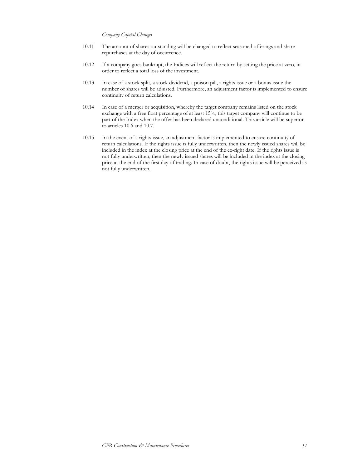## Company Capital Changes

- 10.11 The amount of shares outstanding will be changed to reflect seasoned offerings and share repurchases at the day of occurrence.
- 10.12 If a company goes bankrupt, the Indices will reflect the return by setting the price at zero, in order to reflect a total loss of the investment.
- 10.13 In case of a stock split, a stock dividend, a poison pill, a rights issue or a bonus issue the number of shares will be adjusted. Furthermore, an adjustment factor is implemented to ensure continuity of return calculations.
- 10.14 In case of a merger or acquisition, whereby the target company remains listed on the stock exchange with a free float percentage of at least 15%, this target company will continue to be part of the Index when the offer has been declared unconditional. This article will be superior to articles 10.6 and 10.7.
- 10.15 In the event of a rights issue, an adjustment factor is implemented to ensure continuity of return calculations. If the rights issue is fully underwritten, then the newly issued shares will be included in the index at the closing price at the end of the ex-right date. If the rights issue is not fully underwritten, then the newly issued shares will be included in the index at the closing price at the end of the first day of trading. In case of doubt, the rights issue will be perceived as not fully underwritten.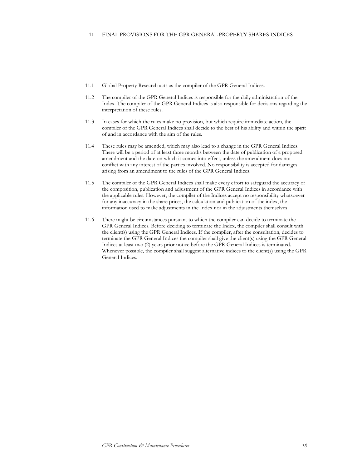- 11.1 Global Property Research acts as the compiler of the GPR General Indices.
- 11.2 The compiler of the GPR General Indices is responsible for the daily administration of the Index. The compiler of the GPR General Indices is also responsible for decisions regarding the interpretation of these rules.
- 11.3 In cases for which the rules make no provision, but which require immediate action, the compiler of the GPR General Indices shall decide to the best of his ability and within the spirit of and in accordance with the aim of the rules.
- 11.4 These rules may be amended, which may also lead to a change in the GPR General Indices. There will be a period of at least three months between the date of publication of a proposed amendment and the date on which it comes into effect, unless the amendment does not conflict with any interest of the parties involved. No responsibility is accepted for damages arising from an amendment to the rules of the GPR General Indices.
- 11.5 The compiler of the GPR General Indices shall make every effort to safeguard the accuracy of the composition, publication and adjustment of the GPR General Indices in accordance with the applicable rules. However, the compiler of the Indices accept no responsibility whatsoever for any inaccuracy in the share prices, the calculation and publication of the index, the information used to make adjustments in the Index nor in the adjustments themselves
- 11.6 There might be circumstances pursuant to which the compiler can decide to terminate the GPR General Indices. Before deciding to terminate the Index, the compiler shall consult with the client(s) using the GPR General Indices. If the compiler, after the consultation, decides to terminate the GPR General Indices the compiler shall give the client(s) using the GPR General Indices at least two (2) years prior notice before the GPR General Indices is terminated. Whenever possible, the compiler shall suggest alternative indices to the client(s) using the GPR General Indices.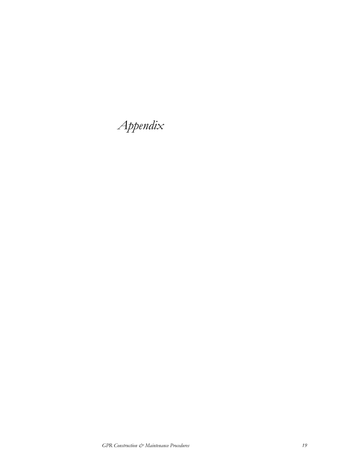Appendix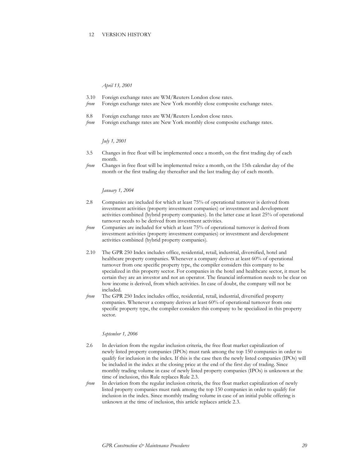#### 12 VERSION HISTORY

April 13, 2001

- 3.10 Foreign exchange rates are WM/Reuters London close rates.
- from Foreign exchange rates are New York monthly close composite exchange rates.
- 8.8 Foreign exchange rates are WM/Reuters London close rates.
- from Foreign exchange rates are New York monthly close composite exchange rates.

July 1, 2001

- 3.5 Changes in free float will be implemented once a month, on the first trading day of each month.
- from Changes in free float will be implemented twice a month, on the 15th calendar day of the month or the first trading day thereafter and the last trading day of each month.

#### January 1, 2004

- 2.8 Companies are included for which at least 75% of operational turnover is derived from investment activities (property investment companies) or investment and development activities combined (hybrid property companies). In the latter case at least 25% of operational turnover needs to be derived from investment activities.
- from Companies are included for which at least 75% of operational turnover is derived from investment activities (property investment companies) or investment and development activities combined (hybrid property companies).
- 2.10 The GPR 250 Index includes office, residential, retail, industrial, diversified, hotel and healthcare property companies. Whenever a company derives at least 60% of operational turnover from one specific property type, the compiler considers this company to be specialized in this property sector. For companies in the hotel and healthcare sector, it must be certain they are an investor and not an operator. The financial information needs to be clear on how income is derived, from which activities. In case of doubt, the company will not be included.
- from The GPR 250 Index includes office, residential, retail, industrial, diversified property companies. Whenever a company derives at least 60% of operational turnover from one specific property type, the compiler considers this company to be specialized in this property sector.

## September 1, 2006

- 2.6 In deviation from the regular inclusion criteria, the free float market capitalization of newly listed property companies (IPOs) must rank among the top 150 companies in order to qualify for inclusion in the index. If this is the case then the newly listed companies (IPOs) will be included in the index at the closing price at the end of the first day of trading. Since monthly trading volume in case of newly listed property companies (IPOs) is unknown at the time of inclusion, this Rule replaces Rule 2.3.
- from In deviation from the regular inclusion criteria, the free float market capitalization of newly listed property companies must rank among the top 150 companies in order to qualify for inclusion in the index. Since monthly trading volume in case of an initial public offering is unknown at the time of inclusion, this article replaces article 2.3.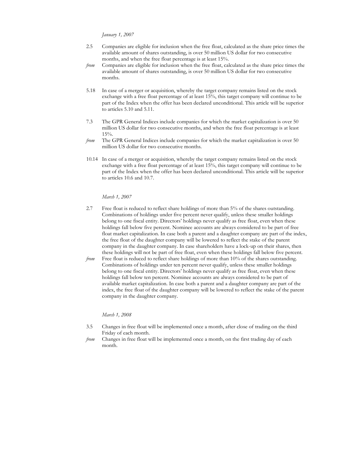January 1, 2007

- 2.5 Companies are eligible for inclusion when the free float, calculated as the share price times the available amount of shares outstanding, is over 50 million US dollar for two consecutive months, and when the free float percentage is at least 15%.
- from Companies are eligible for inclusion when the free float, calculated as the share price times the available amount of shares outstanding, is over 50 million US dollar for two consecutive months.
- 5.18 In case of a merger or acquisition, whereby the target company remains listed on the stock exchange with a free float percentage of at least 15%, this target company will continue to be part of the Index when the offer has been declared unconditional. This article will be superior to articles 5.10 and 5.11.
- 7.3 The GPR General Indices include companies for which the market capitalization is over 50 million US dollar for two consecutive months, and when the free float percentage is at least 15%.
- from The GPR General Indices include companies for which the market capitalization is over 50 million US dollar for two consecutive months.
- 10.14 In case of a merger or acquisition, whereby the target company remains listed on the stock exchange with a free float percentage of at least 15%, this target company will continue to be part of the Index when the offer has been declared unconditional. This article will be superior to articles 10.6 and 10.7.

March 1, 2007

- 2.7 Free float is reduced to reflect share holdings of more than 5% of the shares outstanding. Combinations of holdings under five percent never qualify, unless these smaller holdings belong to one fiscal entity. Directors' holdings never qualify as free float, even when these holdings fall below five percent. Nominee accounts are always considered to be part of free float market capitalization. In case both a parent and a daughter company are part of the index, the free float of the daughter company will be lowered to reflect the stake of the parent company in the daughter company. In case shareholders have a lock-up on their shares, then these holdings will not be part of free float, even when these holdings fall below five percent.
- from Free float is reduced to reflect share holdings of more than 10% of the shares outstanding. Combinations of holdings under ten percent never qualify, unless these smaller holdings belong to one fiscal entity. Directors' holdings never qualify as free float, even when these holdings fall below ten percent. Nominee accounts are always considered to be part of available market capitalization. In case both a parent and a daughter company are part of the index, the free float of the daughter company will be lowered to reflect the stake of the parent company in the daughter company.

March 1, 2008

- 3.5 Changes in free float will be implemented once a month, after close of trading on the third Friday of each month.
- from Changes in free float will be implemented once a month, on the first trading day of each month.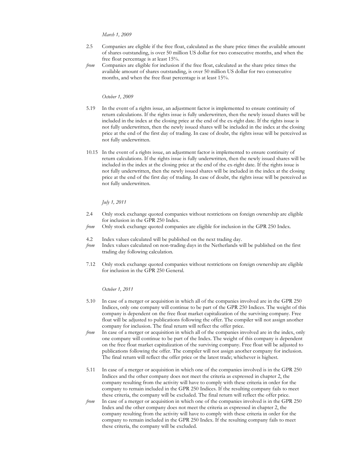March 1, 2009

- 2.5 Companies are eligible if the free float, calculated as the share price times the available amount of shares outstanding, is over 50 million US dollar for two consecutive months, and when the free float percentage is at least 15%.
- from Companies are eligible for inclusion if the free float, calculated as the share price times the available amount of shares outstanding, is over 50 million US dollar for two consecutive months, and when the free float percentage is at least 15%.

## October 1, 2009

- 5.19 In the event of a rights issue, an adjustment factor is implemented to ensure continuity of return calculations. If the rights issue is fully underwritten, then the newly issued shares will be included in the index at the closing price at the end of the ex-right date. If the rights issue is not fully underwritten, then the newly issued shares will be included in the index at the closing price at the end of the first day of trading. In case of doubt, the rights issue will be perceived as not fully underwritten.
- 10.15 In the event of a rights issue, an adjustment factor is implemented to ensure continuity of return calculations. If the rights issue is fully underwritten, then the newly issued shares will be included in the index at the closing price at the end of the ex-right date. If the rights issue is not fully underwritten, then the newly issued shares will be included in the index at the closing price at the end of the first day of trading. In case of doubt, the rights issue will be perceived as not fully underwritten.

#### July 1, 2011

- 2.4 Only stock exchange quoted companies without restrictions on foreign ownership are eligible for inclusion in the GPR 250 Index.
- from Only stock exchange quoted companies are eligible for inclusion in the GPR 250 Index.
- 4.2 Index values calculated will be published on the next trading day.
- from Index values calculated on non-trading days in the Netherlands will be published on the first trading day following calculation.
- 7.12 Only stock exchange quoted companies without restrictions on foreign ownership are eligible for inclusion in the GPR 250 General.

October 1, 2011

- 5.10 In case of a merger or acquisition in which all of the companies involved are in the GPR 250 Indices, only one company will continue to be part of the GPR 250 Indices. The weight of this company is dependent on the free float market capitalization of the surviving company. Free float will be adjusted to publications following the offer. The compiler will not assign another company for inclusion. The final return will reflect the offer price.
- from In case of a merger or acquisition in which all of the companies involved are in the index, only one company will continue to be part of the Index. The weight of this company is dependent on the free float market capitalization of the surviving company. Free float will be adjusted to publications following the offer. The compiler will not assign another company for inclusion. The final return will reflect the offer price or the latest trade; whichever is highest.
- 5.11 In case of a merger or acquisition in which one of the companies involved is in the GPR 250 Indices and the other company does not meet the criteria as expressed in chapter 2, the company resulting from the activity will have to comply with these criteria in order for the company to remain included in the GPR 250 Indices. If the resulting company fails to meet these criteria, the company will be excluded. The final return will reflect the offer price.
- from In case of a merger or acquisition in which one of the companies involved is in the GPR 250 Index and the other company does not meet the criteria as expressed in chapter 2, the company resulting from the activity will have to comply with these criteria in order for the company to remain included in the GPR 250 Index. If the resulting company fails to meet these criteria, the company will be excluded.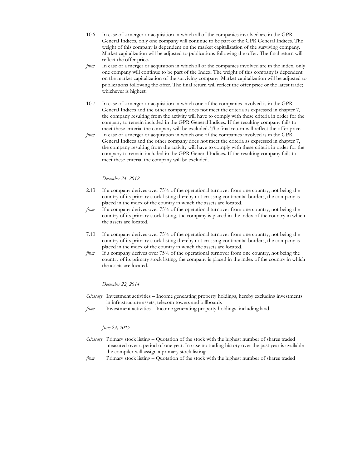- 10.6 In case of a merger or acquisition in which all of the companies involved are in the GPR General Indices, only one company will continue to be part of the GPR General Indices. The weight of this company is dependent on the market capitalization of the surviving company. Market capitalization will be adjusted to publications following the offer. The final return will reflect the offer price.
- from In case of a merger or acquisition in which all of the companies involved are in the index, only one company will continue to be part of the Index. The weight of this company is dependent on the market capitalization of the surviving company. Market capitalization will be adjusted to publications following the offer. The final return will reflect the offer price or the latest trade; whichever is highest.
- 10.7 In case of a merger or acquisition in which one of the companies involved is in the GPR General Indices and the other company does not meet the criteria as expressed in chapter 7, the company resulting from the activity will have to comply with these criteria in order for the company to remain included in the GPR General Indices. If the resulting company fails to meet these criteria, the company will be excluded. The final return will reflect the offer price.
- from In case of a merger or acquisition in which one of the companies involved is in the GPR General Indices and the other company does not meet the criteria as expressed in chapter 7, the company resulting from the activity will have to comply with these criteria in order for the company to remain included in the GPR General Indices. If the resulting company fails to meet these criteria, the company will be excluded.

### December 24, 2012

- 2.13 If a company derives over 75% of the operational turnover from one country, not being the country of its primary stock listing thereby not crossing continental borders, the company is placed in the index of the country in which the assets are located.
- from If a company derives over 75% of the operational turnover from one country, not being the country of its primary stock listing, the company is placed in the index of the country in which the assets are located.
- 7.10 If a company derives over 75% of the operational turnover from one country, not being the country of its primary stock listing thereby not crossing continental borders, the company is placed in the index of the country in which the assets are located.
- from If a company derives over 75% of the operational turnover from one country, not being the country of its primary stock listing, the company is placed in the index of the country in which the assets are located.

#### December 22, 2014

- Glossary Investment activities Income generating property holdings, hereby excluding investments in infrastructure assets, telecom towers and billboards
- from Investment activities Income generating property holdings, including land

## June 23, 2015

- Glossary Primary stock listing Quotation of the stock with the highest number of shares traded measured over a period of one year. In case no trading history over the past year is available the compiler will assign a primary stock listing
- from Primary stock listing Quotation of the stock with the highest number of shares traded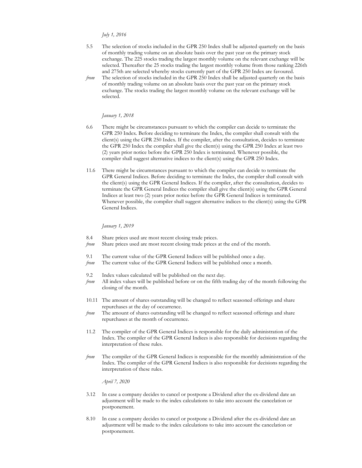## July 1, 2016

- 5.5 The selection of stocks included in the GPR 250 Index shall be adjusted quarterly on the basis of monthly trading volume on an absolute basis over the past year on the primary stock exchange. The 225 stocks trading the largest monthly volume on the relevant exchange will be selected. Thereafter the 25 stocks trading the largest monthly volume from those ranking 226th and 275th are selected whereby stocks currently part of the GPR 250 Index are favoured.
- from The selection of stocks included in the GPR 250 Index shall be adjusted quarterly on the basis of monthly trading volume on an absolute basis over the past year on the primary stock exchange. The stocks trading the largest monthly volume on the relevant exchange will be selected.

#### January 1, 2018

- 6.6 There might be circumstances pursuant to which the compiler can decide to terminate the GPR 250 Index. Before deciding to terminate the Index, the compiler shall consult with the client(s) using the GPR 250 Index. If the compiler, after the consultation, decides to terminate the GPR 250 Index the compiler shall give the client(s) using the GPR 250 Index at least two (2) years prior notice before the GPR 250 Index is terminated. Whenever possible, the compiler shall suggest alternative indices to the client(s) using the GPR 250 Index.
- 11.6 There might be circumstances pursuant to which the compiler can decide to terminate the GPR General Indices. Before deciding to terminate the Index, the compiler shall consult with the client(s) using the GPR General Indices. If the compiler, after the consultation, decides to terminate the GPR General Indices the compiler shall give the client(s) using the GPR General Indices at least two (2) years prior notice before the GPR General Indices is terminated. Whenever possible, the compiler shall suggest alternative indices to the client(s) using the GPR General Indices.

#### January 1, 2019

- 8.4 Share prices used are most recent closing trade prices.
- from Share prices used are most recent closing trade prices at the end of the month.
- 9.1 The current value of the GPR General Indices will be published once a day.
- from The current value of the GPR General Indices will be published once a month.
- 9.2 Index values calculated will be published on the next day.
- from All index values will be published before or on the fifth trading day of the month following the closing of the month.
- 10.11 The amount of shares outstanding will be changed to reflect seasoned offerings and share repurchases at the day of occurrence.
- from The amount of shares outstanding will be changed to reflect seasoned offerings and share repurchases at the month of occurrence.
- 11.2 The compiler of the GPR General Indices is responsible for the daily administration of the Index. The compiler of the GPR General Indices is also responsible for decisions regarding the interpretation of these rules.
- from The compiler of the GPR General Indices is responsible for the monthly administration of the Index. The compiler of the GPR General Indices is also responsible for decisions regarding the interpretation of these rules.

April 7, 2020

- 3.12 In case a company decides to cancel or postpone a Dividend after the ex-dividend date an adjustment will be made to the index calculations to take into account the cancelation or postponement.
- 8.10 In case a company decides to cancel or postpone a Dividend after the ex-dividend date an adjustment will be made to the index calculations to take into account the cancelation or postponement.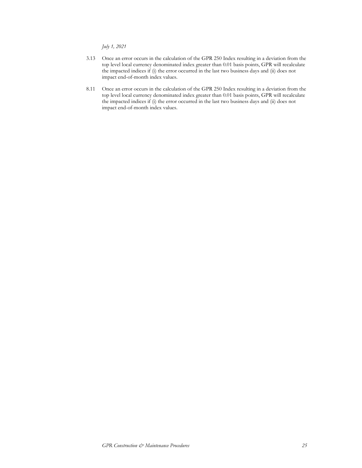July 1, 2021

- 3.13 Once an error occurs in the calculation of the GPR 250 Index resulting in a deviation from the top level local currency denominated index greater than 0.01 basis points, GPR will recalculate the impacted indices if (i) the error occurred in the last two business days and (ii) does not impact end-of-month index values.
- 8.11 Once an error occurs in the calculation of the GPR 250 Index resulting in a deviation from the top level local currency denominated index greater than 0.01 basis points, GPR will recalculate the impacted indices if (i) the error occurred in the last two business days and (ii) does not impact end-of-month index values.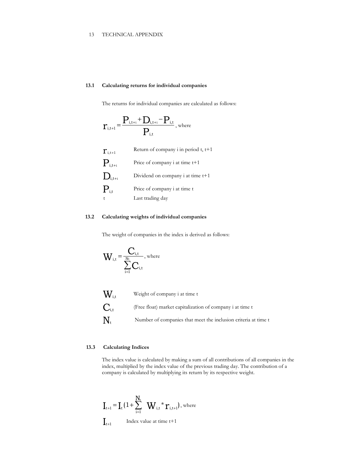## 13 TECHNICAL APPENDIX

## 13.1 Calculating returns for individual companies

The returns for individual companies are calculated as follows:

$$
r_{\rm i,t+1}\!=\!\frac{P_{\rm i,t+1}\!+\!D_{\rm i,t+1}\!-\!P_{\rm i,t}}{P_{\rm i,t}},\rm{where}
$$

| $\mathbf{r}_{\scriptscriptstyle \text{ i,t+1}}$           | Return of company i in period t, t+1 |
|-----------------------------------------------------------|--------------------------------------|
| $\mathbf{P}_{\scriptscriptstyle \mathrm{i},\mathrm{t+1}}$ | Price of company i at time t+1       |
| $\mathbf{D}_{\text{i,t+1}}$                               | Dividend on company i at time $t+1$  |
| $\mathbf{P}_{\text{i,t}}$                                 | Price of company i at time t         |
| $\ddagger$                                                | Last trading day                     |

## 13.2 Calculating weights of individual companies

The weight of companies in the index is derived as follows:

$$
W_{\mathrm{i,t}}\!=\!\frac{C_{\mathrm{i,t}}}{\sum\limits_{\mathrm{i=1}}^{\mathrm{N}\mathrm{t}}C_{\mathrm{i,t}}},\mathrm{where}
$$



## 13.3 Calculating Indices

The index value is calculated by making a sum of all contributions of all companies in the index, multiplied by the index value of the previous trading day. The contribution of a company is calculated by multiplying its return by its respective weight.

$$
\mathbf{I}_{t+1} = \mathbf{I}_{t} \left( 1 + \sum_{i=1}^{N_t} \mathbf{W}_{i,t} \cdot \mathbf{r}_{i,t+1} \right), \text{ where}
$$
  

$$
\mathbf{I}_{t+1}
$$
 Index value at time  $t+1$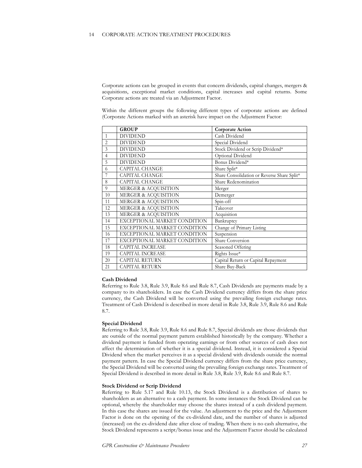Corporate actions can be grouped in events that concern dividends, capital changes, mergers & acquisitions, exceptional market conditions, capital increases and capital returns. Some Corporate actions are treated via an Adjustment Factor.

Within the different groups the following different types of corporate actions are defined (Corporate Actions marked with an asterisk have impact on the Adjustment Factor:

|                | <b>GROUP</b>                    | <b>Corporate Action</b>                     |
|----------------|---------------------------------|---------------------------------------------|
| $\mathbf{1}$   | <b>DIVIDEND</b>                 | Cash Dividend                               |
| $\overline{c}$ | <b>DIVIDEND</b>                 | Special Dividend                            |
| 3              | <b>DIVIDEND</b>                 | Stock Dividend or Scrip Dividend*           |
| $\overline{4}$ | <b>DIVIDEND</b>                 | Optional Dividend                           |
| 5              | <b>DIVIDEND</b>                 | Bonus Dividend*                             |
| 6              | <b>CAPITAL CHANGE</b>           | Share Split*                                |
|                | <b>CAPITAL CHANGE</b>           | Share Consolidation or Reverse Share Split* |
| 8              | <b>CAPITAL CHANGE</b>           | Share Redenomination                        |
| 9              | MERGER & ACQUISITION            | Merger                                      |
| 10             | <b>MERGER &amp; ACOUISITION</b> | Demerger                                    |
| 11             | MERGER & ACQUISITION            | Spin-off                                    |
| 12             | <b>MERGER &amp; ACQUISITION</b> | Takeover                                    |
| 13             | MERGER & ACQUISITION            | Acquisition                                 |
| 14             | EXCEPTIONAL MARKET CONDITION    | Bankruptcy                                  |
| 15             | EXCEPTIONAL MARKET CONDITION    | Change of Primary Listing                   |
| 16             | EXCEPTIONAL MARKET CONDITION    | Suspension                                  |
| 17             | EXCEPTIONAL MARKET CONDITION    | Share Conversion                            |
| 18             | <b>CAPITAL INCREASE</b>         | Seasoned Offering                           |
| 19             | <b>CAPITAL INCREASE</b>         | Rights Issue*                               |
| 20             | <b>CAPITAL RETURN</b>           | Capital Return or Capital Repayment         |
| 21             | <b>CAPITAL RETURN</b>           | Share Buy-Back                              |

## Cash Dividend

Referring to Rule 3.8, Rule 3.9, Rule 8.6 and Rule 8.7, Cash Dividends are payments made by a company to its shareholders. In case the Cash Dividend currency differs from the share price currency, the Cash Dividend will be converted using the prevailing foreign exchange rates. Treatment of Cash Dividend is described in more detail in Rule 3.8, Rule 3.9, Rule 8.6 and Rule 8.7.

## Special Dividend

Referring to Rule 3.8, Rule 3.9, Rule 8.6 and Rule 8.7, Special dividends are those dividends that are outside of the normal payment pattern established historically by the company. Whether a dividend payment is funded from operating earnings or from other sources of cash does not affect the determination of whether it is a special dividend. Instead, it is considered a Special Dividend when the market perceives it as a special dividend with dividends outside the normal payment pattern. In case the Special Dividend currency differs from the share price currency, the Special Dividend will be converted using the prevailing foreign exchange rates. Treatment of Special Dividend is described in more detail in Rule 3.8, Rule 3.9, Rule 8.6 and Rule 8.7.

#### Stock Dividend or Scrip Dividend

Referring to Rule 5.17 and Rule 10.13, the Stock Dividend is a distribution of shares to shareholders as an alternative to a cash payment. In some instances the Stock Dividend can be optional, whereby the shareholder may choose the shares instead of a cash dividend payment. In this case the shares are issued for the value. An adjustment to the price and the Adjustment Factor is done on the opening of the ex-dividend date, and the number of shares is adjusted (increased) on the ex-dividend date after close of trading. When there is no cash alternative, the Stock Dividend represents a script/bonus issue and the Adjustment Factor should be calculated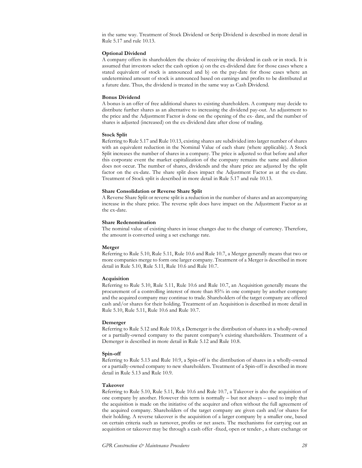in the same way. Treatment of Stock Dividend or Scrip Dividend is described in more detail in Rule 5.17 and rule 10.13.

### Optional Dividend

A company offers its shareholders the choice of receiving the dividend in cash or in stock. It is assumed that investors select the cash option a) on the ex-dividend date for those cases where a stated equivalent of stock is announced and b) on the pay-date for those cases where an undetermined amount of stock is announced based on earnings and profits to be distributed at a future date. Thus, the dividend is treated in the same way as Cash Dividend.

## Bonus Dividend

A bonus is an offer of free additional shares to existing shareholders. A company may decide to distribute further shares as an alternative to increasing the dividend pay-out. An adjustment to the price and the Adjustment Factor is done on the opening of the ex- date, and the number of shares is adjusted (increased) on the ex-dividend date after close of trading.

#### Stock Split

Referring to Rule 5.17 and Rule 10.13, existing shares are subdivided into larger number of shares with an equivalent reduction in the Nominal Value of each share (where applicable). A Stock Split increases the number of shares in a company. The price is adjusted so that before and after this corporate event the market capitalization of the company remains the same and dilution does not occur. The number of shares, dividends and the share price are adjusted by the split factor on the ex-date. The share split does impact the Adjustment Factor as at the ex-date. Treatment of Stock split is described in more detail in Rule 5.17 and rule 10.13.

## Share Consolidation or Reverse Share Split

A Reverse Share Split or reverse split is a reduction in the number of shares and an accompanying increase in the share price. The reverse split does have impact on the Adjustment Factor as at the ex-date.

#### Share Redenomination

The nominal value of existing shares in issue changes due to the change of currency. Therefore, the amount is converted using a set exchange rate.

#### Merger

Referring to Rule 5.10, Rule 5.11, Rule 10.6 and Rule 10.7, a Merger generally means that two or more companies merge to form one larger company. Treatment of a Merger is described in more detail in Rule 5.10, Rule 5.11, Rule 10.6 and Rule 10.7.

#### Acquisition

Referring to Rule 5.10, Rule 5.11, Rule 10.6 and Rule 10.7, an Acquisition generally means the procurement of a controlling interest of more than 85% in one company by another company and the acquired company may continue to trade. Shareholders of the target company are offered cash and/or shares for their holding. Treatment of an Acquisition is described in more detail in Rule 5.10, Rule 5.11, Rule 10.6 and Rule 10.7.

#### Demerger

Referring to Rule 5.12 and Rule 10.8, a Demerger is the distribution of shares in a wholly-owned or a partially-owned company to the parent company's existing shareholders. Treatment of a Demerger is described in more detail in Rule 5.12 and Rule 10.8.

#### Spin-off

Referring to Rule 5.13 and Rule 10.9, a Spin-off is the distribution of shares in a wholly-owned or a partially-owned company to new shareholders. Treatment of a Spin-off is described in more detail in Rule 5.13 and Rule 10.9.

#### Takeover

Referring to Rule 5.10, Rule 5.11, Rule 10.6 and Rule 10.7, a Takeover is also the acquisition of one company by another. However this term is normally – but not always – used to imply that the acquisition is made on the initiative of the acquirer and often without the full agreement of the acquired company. Shareholders of the target company are given cash and/or shares for their holding. A reverse takeover is the acquisition of a larger company by a smaller one, based on certain criteria such as turnover, profits or net assets. The mechanisms for carrying out an acquisition or takeover may be through a cash offer -fixed, open or tender-, a share exchange or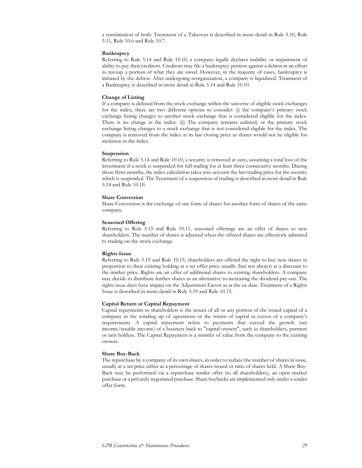a combination of both. Treatment of a Takeover is described in more detail in Rule 5.10, Rule 5.11, Rule 10.6 and Rule 10.7.

#### Bankruptcy

Referring to Rule 5.14 and Rule 10.10, a company legally declares inability or impairment of ability to pay their creditors. Creditors may file a bankruptcy petition against a debtor in an effort to recoup a portion of what they are owed. However, in the majority of cases, bankruptcy is initiated by the debtor. After undergoing reorganization, a company is liquidated. Treatment of a Bankruptcy is described in more detail in Rule 5.14 and Rule 10.10.

## Change of Listing

If a company is delisted from the stock exchange within the universe of eligible stock exchanges for the index, there are two different options to consider: (i) the company's primary stock exchange listing changes to another stock exchange that is considered eligible for the index. There is no change in the index. (ii) The company remains unlisted, or the primary stock exchange listing changes to a stock exchange that is not considered eligible for the index. The company is removed from the index at its last closing price as shares would not be eligible for inclusion in the index.

#### Suspension

Referring to Rule 5.14 and Rule 10.10, a security is removed at zero, assuming a total loss of the investment if a stock is suspended for full trading for at least three consecutive months. During those three months, the index calculation takes into account the last trading price for the security which is suspended. The Treatment of a suspension of trading is described in more detail in Rule 5.14 and Rule 10.10.

## Share Conversion

Share Conversion is the exchange of one form of shares for another form of shares of the same company.

#### Seasoned Offering

Referring to Rule 5.15 and Rule 10.11, seasoned offerings are an offer of shares to new shareholders. The number of shares is adjusted when the offered shares are effectively admitted to trading on the stock exchange.

## Rights Issue

Referring to Rule 5.19 and Rule 10.15, shareholders are offered the right to buy new shares in proportion to their existing holding at a set offer price usually (but not always) at a discount to the market price. Rights are an offer of additional shares to existing shareholders. A company may decide to distribute further shares as an alternative to increasing the dividend pay-out. The rights issue does have impact on the Adjustment Factor as at the ex-date. Treatment of a Rights Issue is described in more detail in Rule 5.19 and Rule 10.15.

#### Capital Return or Capital Repayment

Capital repayments to shareholders is the return of all or any portion of the issued capital of a company in the winding up of operations or the return of capital in excess of a company's requirements. A capital repayment refers to payments that exceed the growth (net income/taxable income) of a business back to "capital owners", such as shareholders, partners or unit holders. The Capital Repayment is a transfer of value from the company to the existing owners.

## Share Buy-Back

The repurchase by a company of its own shares, in order to reduce the number of shares in issue, usually at a set price either as a percentage of shares issued or ratio of shares held. A Share Buy-Back may be performed via a repurchase tender offer (to all shareholders), an open market purchase or a privately negotiated purchase. Share buybacks are implemented only under a tender offer form.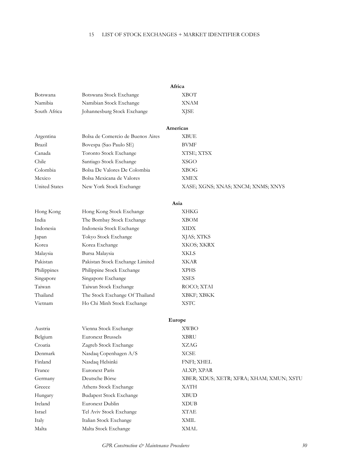# 15 LIST OF STOCK EXCHANGES + MARKET IDENTIFIER CODES

|                      |                                   | Africa                                   |
|----------------------|-----------------------------------|------------------------------------------|
| Botswana             | Botswana Stock Exchange           | <b>XBOT</b>                              |
| Namibia              | Namibian Stock Exchange           | XNAM                                     |
| South Africa         | Johannesburg Stock Exchange       | <b>XJSE</b>                              |
|                      |                                   | Americas                                 |
| Argentina            | Bolsa de Comercio de Buenos Aires | <b>XBUE</b>                              |
| Brazil               | Bovespa (Sao Paulo SE)            | <b>BVMF</b>                              |
| Canada               | Toronto Stock Exchange            | XTSE; XTSX                               |
| Chile                | Santiago Stock Exchange           | <b>XSGO</b>                              |
| Colombia             | Bolsa De Valores De Colombia      | <b>XBOG</b>                              |
| Mexico               | Bolsa Mexicana de Valores         | <b>XMEX</b>                              |
| <b>United States</b> | New York Stock Exchange           | XASE; XGNS; XNAS; XNCM; XNMS; XNYS       |
|                      |                                   | Asia                                     |
| Hong Kong            | Hong Kong Stock Exchange          | XHKG                                     |
| India                | The Bombay Stock Exchange         | <b>XBOM</b>                              |
| Indonesia            | Indonesia Stock Exchange          | <b>XIDX</b>                              |
| Japan                | Tokyo Stock Exchange              | XJAS; XTKS                               |
| Korea                | Korea Exchange                    | XKOS; XKRX                               |
| Malaysia             | Bursa Malaysia                    | <b>XKLS</b>                              |
| Pakistan             | Pakistan Stock Exchange Limited   | XKAR                                     |
| Philippines          | Philippine Stock Exchange         | <b>XPHS</b>                              |
| Singapore            | Singapore Exchange                | <b>XSES</b>                              |
| Taiwan               | Taiwan Stock Exchange             | ROCO; XTAI                               |
| Thailand             | The Stock Exchange Of Thailand    | XBKF; XBKK                               |
| Vietnam              | Ho Chi Minh Stock Exchange        | <b>XSTC</b>                              |
|                      |                                   | Europe                                   |
| Austria              | Vienna Stock Exchange             | <b>XWBO</b>                              |
| Belgium              | <b>Euronext Brussels</b>          | <b>XBRU</b>                              |
| Croatia              | Zagreb Stock Exchange             | XZAG                                     |
| Denmark              | Nasdaq Copenhagen A/S             | <b>XCSE</b>                              |
| Finland              | Nasdaq Helsinki                   | FNFI; XHEL                               |
| France               | <b>Euronext Paris</b>             | ALXP; XPAR                               |
| Germany              | Deutsche Börse                    | XBER; XDUS; XETR; XFRA; XHAM; XMUN; XSTU |
| Greece               | Athens Stock Exchange             | <b>XATH</b>                              |
| Hungary              | <b>Budapest Stock Exchange</b>    | <b>XBUD</b>                              |
| Ireland              | Euronext Dublin                   | <b>XDUB</b>                              |
| Israel               | Tel Aviv Stock Exchange           | <b>XTAE</b>                              |
| Italy                | Italian Stock Exchange            | <b>XMIL</b>                              |
| Malta                | Malta Stock Exchange              | <b>XMAL</b>                              |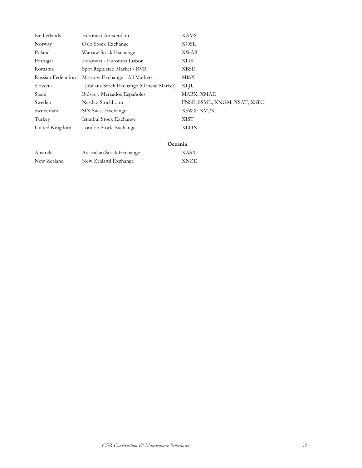| Netherlands        | Euronext Amsterdam                         | <b>XAMS</b>                  |
|--------------------|--------------------------------------------|------------------------------|
| Norway             | Oslo Stock Exchange                        | XOSL                         |
| Poland             | Warsaw Stock Exchange                      | XWAR                         |
| Portugal           | Euronext - Euronext Lisbon                 | <b>XLIS</b>                  |
| Romania            | Spot Regulated Market - BVB                | XBSE                         |
| Russian Federation | Moscow Exchange - All Markets              | MISX                         |
| Slovenia           | Ljubljana Stock Exchange (Official Market) | <b>XLJU</b>                  |
| Spain              | Bolsas y Mercados Españoles                | MABX; XMAD                   |
| Sweden             | Nasdaq Stockholm                           | FNSE, SSME, XNGM, XSAT, XSTO |
| Switzerland        | SIX Swiss Exchange                         | XSWX; XVTX                   |
| Turkey             | Istanbul Stock Exchange                    | XIST                         |
| United Kingdom     | London Stock Exchange                      | <b>XLON</b>                  |

# Oceania

| Australia   | Australian Stock Exchange | XASX        |
|-------------|---------------------------|-------------|
| New Zealand | New Zealand Exchange      | <b>XNZE</b> |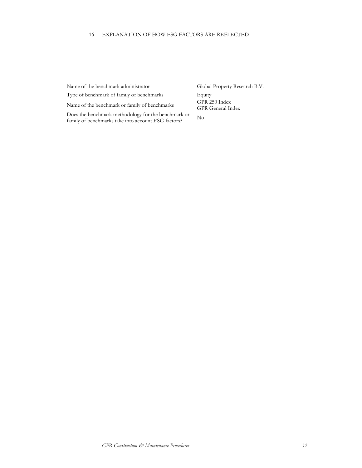## 16 EXPLANATION OF HOW ESG FACTORS ARE REFLECTED

Name of the benchmark administrator Global Property Research B.V.

Type of benchmark of family of benchmarks Equity

Name of the benchmark or family of benchmarks GPR 250 Index

Does the benchmark methodology for the benchmark or Framily of benchmarks take into account ESG factors?<br>No

GPR General Index